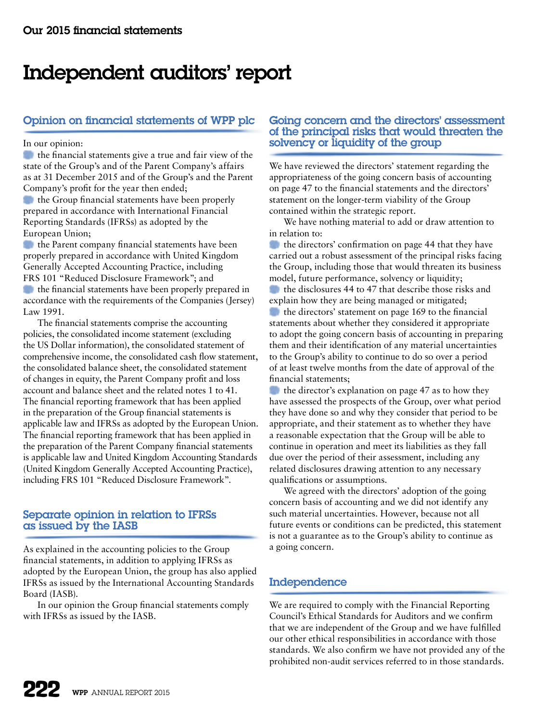# Independent auditors' report

# Opinion on financial statements of WPP plc

#### In our opinion:

the financial statements give a true and fair view of the state of the Group's and of the Parent Company's affairs as at 31 December 2015 and of the Group's and the Parent Company's profit for the year then ended;

the Group financial statements have been properly prepared in accordance with International Financial Reporting Standards (IFRSs) as adopted by the European Union;

the Parent company financial statements have been properly prepared in accordance with United Kingdom Generally Accepted Accounting Practice, including FRS 101 "Reduced Disclosure Framework"; and

the financial statements have been properly prepared in accordance with the requirements of the Companies (Jersey) Law 1991.

The financial statements comprise the accounting policies, the consolidated income statement (excluding the US Dollar information), the consolidated statement of comprehensive income, the consolidated cash flow statement, the consolidated balance sheet, the consolidated statement of changes in equity, the Parent Company profit and loss account and balance sheet and the related notes 1 to 41. The financial reporting framework that has been applied in the preparation of the Group financial statements is applicable law and IFRSs as adopted by the European Union. The financial reporting framework that has been applied in the preparation of the Parent Company financial statements is applicable law and United Kingdom Accounting Standards (United Kingdom Generally Accepted Accounting Practice), including FRS 101 "Reduced Disclosure Framework".

## Separate opinion in relation to IFRSs as issued by the IASB

As explained in the accounting policies to the Group financial statements, in addition to applying IFRSs as adopted by the European Union, the group has also applied IFRSs as issued by the International Accounting Standards Board (IASB).

In our opinion the Group financial statements comply with IFRSs as issued by the IASB.

## Going concern and the directors' assessment of the principal risks that would threaten the solvency or liquidity of the group

We have reviewed the directors' statement regarding the appropriateness of the going concern basis of accounting on page 47 to the financial statements and the directors' statement on the longer-term viability of the Group contained within the strategic report.

We have nothing material to add or draw attention to in relation to:

**the directors' confirmation on page 44 that they have** carried out a robust assessment of the principal risks facing the Group, including those that would threaten its business model, future performance, solvency or liquidity;

the disclosures 44 to 47 that describe those risks and explain how they are being managed or mitigated;

the directors' statement on page 169 to the financial statements about whether they considered it appropriate to adopt the going concern basis of accounting in preparing them and their identification of any material uncertainties to the Group's ability to continue to do so over a period of at least twelve months from the date of approval of the financial statements;

the director's explanation on page 47 as to how they have assessed the prospects of the Group, over what period they have done so and why they consider that period to be appropriate, and their statement as to whether they have a reasonable expectation that the Group will be able to continue in operation and meet its liabilities as they fall due over the period of their assessment, including any related disclosures drawing attention to any necessary qualifications or assumptions.

We agreed with the directors' adoption of the going concern basis of accounting and we did not identify any such material uncertainties. However, because not all future events or conditions can be predicted, this statement is not a guarantee as to the Group's ability to continue as a going concern.

# Independence

We are required to comply with the Financial Reporting Council's Ethical Standards for Auditors and we confirm that we are independent of the Group and we have fulfilled our other ethical responsibilities in accordance with those standards. We also confirm we have not provided any of the prohibited non-audit services referred to in those standards.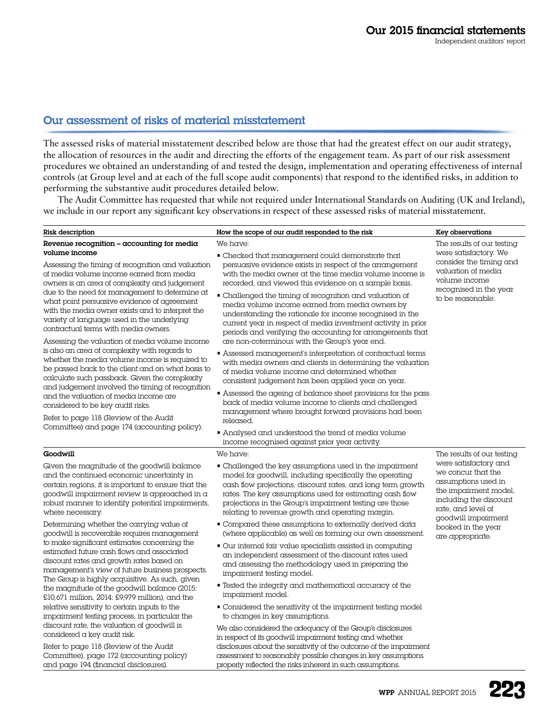# Our assessment of risks of material misstatement

The assessed risks of material misstatement described below are those that had the greatest effect on our audit strategy, the allocation of resources in the audit and directing the efforts of the engagement team. As part of our risk assessment procedures we obtained an understanding of and tested the design, implementation and operating effectiveness of internal controls (at Group level and at each of the full scope audit components) that respond to the identified risks, in addition to performing the substantive audit procedures detailed below.

The Audit Committee has requested that while not required under International Standards on Auditing (UK and Ireland), we include in our report any significant key observations in respect of these assessed risks of material misstatement.

| Risk description                                                                                                                                                                                                                                                                                                                                                                                                                                                                                                                                                                                                                                                                                                                                                   | How the scope of our audit responded to the risk                                                                                                                                                                                                                                                                                                                                                                                                                                                                                                                                                                                                                                                                                                                                                                                                                                                   | Key observations                                                                                                                                                   |
|--------------------------------------------------------------------------------------------------------------------------------------------------------------------------------------------------------------------------------------------------------------------------------------------------------------------------------------------------------------------------------------------------------------------------------------------------------------------------------------------------------------------------------------------------------------------------------------------------------------------------------------------------------------------------------------------------------------------------------------------------------------------|----------------------------------------------------------------------------------------------------------------------------------------------------------------------------------------------------------------------------------------------------------------------------------------------------------------------------------------------------------------------------------------------------------------------------------------------------------------------------------------------------------------------------------------------------------------------------------------------------------------------------------------------------------------------------------------------------------------------------------------------------------------------------------------------------------------------------------------------------------------------------------------------------|--------------------------------------------------------------------------------------------------------------------------------------------------------------------|
| Revenue recognition $-$ accounting for media                                                                                                                                                                                                                                                                                                                                                                                                                                                                                                                                                                                                                                                                                                                       | We have:                                                                                                                                                                                                                                                                                                                                                                                                                                                                                                                                                                                                                                                                                                                                                                                                                                                                                           | The results of our testing                                                                                                                                         |
| volume income<br>Assessing the timing of recognition and valuation<br>of media volume income earned from media<br>owners is an area of complexity and judgement<br>due to the need for management to determine at<br>what point persuasive evidence of agreement<br>with the media owner exists and to interpret the<br>variety of language used in the underlying<br>contractual terms with media owners.<br>Assessing the valuation of media volume income<br>is also an area of complexity with regards to<br>whether the media volume income is required to<br>be passed back to the client and on what basis to<br>calculate such passback. Given the complexity<br>and judgement involved the timing of recognition<br>and the valuation of media income are | • Checked that management could demonstrate that<br>persuasive evidence exists in respect of the arrangement<br>with the media owner at the time media volume income is<br>recorded, and viewed this evidence on a sample basis.<br>• Challenged the timing of recognition and valuation of<br>media volume income earned from media owners by<br>understanding the rationale for income recognised in the<br>current year in respect of media investment activity in prior<br>periods and verifying the accounting for arrangements that<br>are non-coterminous with the Group's year end.<br>• Assessed management's interpretation of contractual terms<br>with media owners and clients in determining the valuation<br>of media volume income and determined whether<br>consistent judgement has been applied year on year.<br>• Assessed the ageing of balance sheet provisions for the pass | were satisfactory. We<br>consider the timing and<br>valuation of media<br>volume income<br>recognised in the year<br>to be reasonable.                             |
| considered to be key audit risks.<br>Refer to page 118 (Review of the Audit<br>Committee) and page 174 (accounting policy).                                                                                                                                                                                                                                                                                                                                                                                                                                                                                                                                                                                                                                        | back of media volume income to clients and challenged<br>management where brought forward provisions had been<br>released.<br>• Analysed and understood the trend of media volume<br>income recognised against prior year activity.                                                                                                                                                                                                                                                                                                                                                                                                                                                                                                                                                                                                                                                                |                                                                                                                                                                    |
| Goodwill                                                                                                                                                                                                                                                                                                                                                                                                                                                                                                                                                                                                                                                                                                                                                           | We have:                                                                                                                                                                                                                                                                                                                                                                                                                                                                                                                                                                                                                                                                                                                                                                                                                                                                                           | The results of our testing                                                                                                                                         |
| Given the magnitude of the goodwill balance<br>and the continued economic uncertainty in<br>certain regions, it is important to ensure that the<br>goodwill impairment review is approached in $\alpha$<br>robust manner to identify potential impairments,<br>where necessary.                                                                                                                                                                                                                                                                                                                                                                                                                                                                                    | • Challenged the key assumptions used in the impairment<br>model for goodwill, including specifically the operating<br>cash flow projections, discount rates, and long term growth<br>rates. The key assumptions used for estimating cash flow<br>projections in the Group's impairment testing are those<br>relating to revenue growth and operating margin.                                                                                                                                                                                                                                                                                                                                                                                                                                                                                                                                      | were satisfactory and<br>we concur that the<br>assumptions used in<br>the impairment model,<br>including the discount<br>rate, and level of<br>goodwill impairment |
| Determining whether the carrying value of<br>goodwill is recoverable requires management<br>to make significant estimates concerning the<br>estimated future cash flows and associated<br>discount rates and growth rates based on<br>management's view of future business prospects.<br>The Group is highly acquisitive. As such, given<br>the magnitude of the goodwill balance (2015:<br>£10,671 million, 2014: £9,979 million), and the<br>relative sensitivity to certain inputs to the<br>impairment testing process, in particular the<br>discount rate, the valuation of goodwill is<br>considered a key audit risk.<br>Refer to page 118 (Review of the Audit                                                                                             | Compared these assumptions to externally derived data<br>(where applicable) as well as forming our own assessment.<br>. Our internal fair value specialists assisted in computing<br>an independent assessment of the discount rates used<br>and assessing the methodology used in preparing the<br>impairment testing model.<br>• Tested the integrity and mathematical accuracy of the<br>impairment model.<br>• Considered the sensitivity of the impairment testing model<br>to changes in key assumptions.<br>We also considered the adequacy of the Group's disclosures<br>in respect of its goodwill impairment testing and whether<br>disclosures about the sensitivity of the outcome of the impairment                                                                                                                                                                                   | booked in the year<br>are appropriate.                                                                                                                             |
| Committee), page 172 (accounting policy)<br>and page 194 (financial disclosures).                                                                                                                                                                                                                                                                                                                                                                                                                                                                                                                                                                                                                                                                                  | assessment to reasonably possible changes in key assumptions<br>properly reflected the risks inherent in such assumptions.                                                                                                                                                                                                                                                                                                                                                                                                                                                                                                                                                                                                                                                                                                                                                                         | RAA                                                                                                                                                                |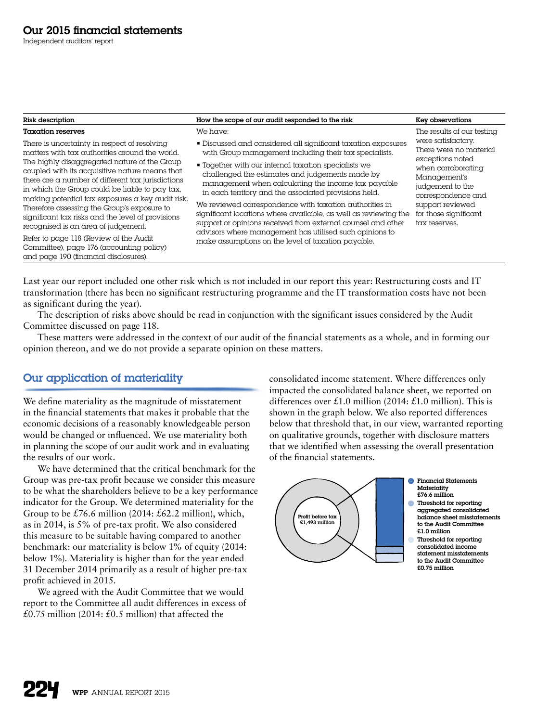Independent auditors' report

| We have:<br><b>Taxation reserves</b><br>There is uncertainty in respect of resolving<br>with Group management including their tax specialists.<br>matters with tax authorities around the world.<br>The highly disaggregated nature of the Group<br>■ Together with our internal taxation specialists we                                                                                                                                                                                                                                                                                                                                                                                                                                                                                                                          | The results of our testing<br>were satisfactory.<br>■ Discussed and considered all significant taxation exposures<br>There were no material                                                                                                                                                       |
|-----------------------------------------------------------------------------------------------------------------------------------------------------------------------------------------------------------------------------------------------------------------------------------------------------------------------------------------------------------------------------------------------------------------------------------------------------------------------------------------------------------------------------------------------------------------------------------------------------------------------------------------------------------------------------------------------------------------------------------------------------------------------------------------------------------------------------------|---------------------------------------------------------------------------------------------------------------------------------------------------------------------------------------------------------------------------------------------------------------------------------------------------|
| coupled with its acquisitive nature means that<br>challenged the estimates and judgements made by<br>there are a number of different tax jurisdictions<br>management when calculating the income tax payable<br>in which the Group could be liable to pay tax,<br>in each territory and the associated provisions held.<br>making potential tax exposures a key audit risk.<br>We reviewed correspondence with taxation authorities in<br>Therefore assessing the Group's exposure to<br>significant tax risks and the level of provisions<br>recognised is an area of judgement.<br>advisors where management has utilised such opinions to<br>Refer to page 118 (Review of the Audit<br>make assumptions on the level of taxation payable.<br>Committee), page 176 (accounting policy)<br>and page 190 (financial disclosures). | exceptions noted<br>when corroborating<br>Management's<br>judgement to the<br>correspondence and<br>support reviewed<br>for those significant<br>significant locations where available, as well as reviewing the<br>support or opinions received from external counsel and other<br>tax reserves. |

Last year our report included one other risk which is not included in our report this year: Restructuring costs and IT transformation (there has been no significant restructuring programme and the IT transformation costs have not been as significant during the year).

The description of risks above should be read in conjunction with the significant issues considered by the Audit Committee discussed on page 118.

These matters were addressed in the context of our audit of the financial statements as a whole, and in forming our opinion thereon, and we do not provide a separate opinion on these matters.

# Our application of materiality

We define materiality as the magnitude of misstatement in the financial statements that makes it probable that the economic decisions of a reasonably knowledgeable person would be changed or influenced. We use materiality both in planning the scope of our audit work and in evaluating the results of our work.

We have determined that the critical benchmark for the Group was pre-tax profit because we consider this measure to be what the shareholders believe to be a key performance indicator for the Group. We determined materiality for the Group to be £76.6 million (2014: £62.2 million), which, as in 2014, is 5% of pre-tax profit. We also considered this measure to be suitable having compared to another benchmark: our materiality is below 1% of equity (2014: below 1%). Materiality is higher than for the year ended 31 December 2014 primarily as a result of higher pre-tax profit achieved in 2015.

We agreed with the Audit Committee that we would report to the Committee all audit differences in excess of £0.75 million (2014:  $£0.5$  million) that affected the

consolidated income statement. Where differences only impacted the consolidated balance sheet, we reported on differences over £1.0 million (2014: £1.0 million). This is shown in the graph below. We also reported differences below that threshold that, in our view, warranted reporting on qualitative grounds, together with disclosure matters that we identified when assessing the overall presentation of the financial statements.

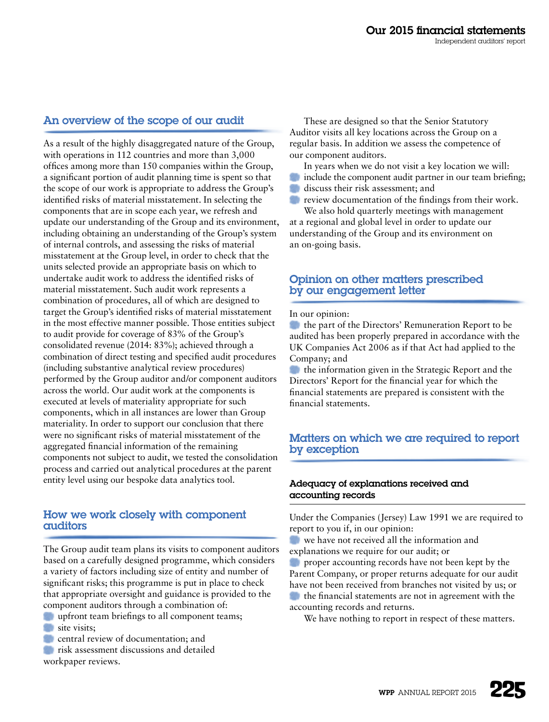# An overview of the scope of our audit

As a result of the highly disaggregated nature of the Group, with operations in 112 countries and more than 3,000 offices among more than 150 companies within the Group, a significant portion of audit planning time is spent so that the scope of our work is appropriate to address the Group's identified risks of material misstatement. In selecting the components that are in scope each year, we refresh and update our understanding of the Group and its environment, including obtaining an understanding of the Group's system of internal controls, and assessing the risks of material misstatement at the Group level, in order to check that the units selected provide an appropriate basis on which to undertake audit work to address the identified risks of material misstatement. Such audit work represents a combination of procedures, all of which are designed to target the Group's identified risks of material misstatement in the most effective manner possible. Those entities subject to audit provide for coverage of 83% of the Group's consolidated revenue (2014: 83%); achieved through a combination of direct testing and specified audit procedures (including substantive analytical review procedures) performed by the Group auditor and/or component auditors across the world. Our audit work at the components is executed at levels of materiality appropriate for such components, which in all instances are lower than Group materiality. In order to support our conclusion that there were no significant risks of material misstatement of the aggregated financial information of the remaining components not subject to audit, we tested the consolidation process and carried out analytical procedures at the parent entity level using our bespoke data analytics tool.

## How we work closely with component auditors

The Group audit team plans its visits to component auditors based on a carefully designed programme, which considers a variety of factors including size of entity and number of significant risks; this programme is put in place to check that appropriate oversight and guidance is provided to the component auditors through a combination of:

upfront team briefings to all component teams; site visits;

**CENT** central review of documentation; and

**risk assessment discussions and detailed** workpaper reviews.

These are designed so that the Senior Statutory Auditor visits all key locations across the Group on a regular basis. In addition we assess the competence of our component auditors.

In years when we do not visit a key location we will:

- include the component audit partner in our team briefing;
- discuss their risk assessment; and

*review documentation of the findings from their work.* We also hold quarterly meetings with management

at a regional and global level in order to update our understanding of the Group and its environment on an on-going basis.

## Opinion on other matters prescribed by our engagement letter

#### In our opinion:

the part of the Directors' Remuneration Report to be audited has been properly prepared in accordance with the UK Companies Act 2006 as if that Act had applied to the Company; and

the information given in the Strategic Report and the Directors' Report for the financial year for which the financial statements are prepared is consistent with the financial statements.

## Matters on which we are required to report by exception

#### Adequacy of explanations received and accounting records

Under the Companies (Jersey) Law 1991 we are required to report to you if, in our opinion:

- we have not received all the information and
- explanations we require for our audit; or

proper accounting records have not been kept by the Parent Company, or proper returns adequate for our audit have not been received from branches not visited by us; or

the financial statements are not in agreement with the accounting records and returns.

We have nothing to report in respect of these matters.